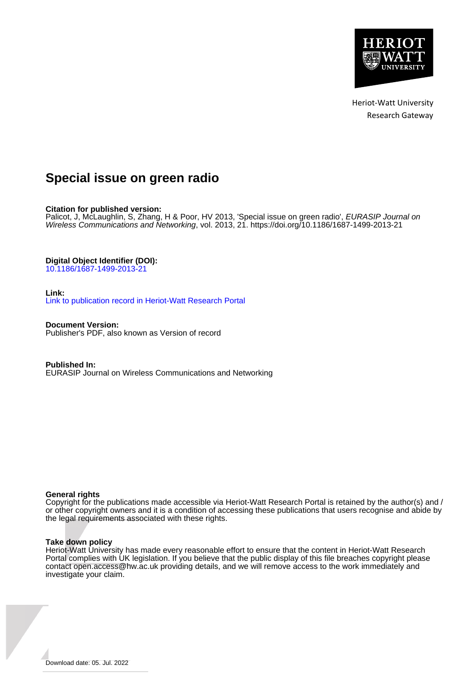

Heriot-Watt University Research Gateway

## **Special issue on green radio**

**Citation for published version:**

Palicot, J, McLaughlin, S, Zhang, H & Poor, HV 2013, 'Special issue on green radio', *EURASIP Journal on* Wireless Communications and Networking, vol. 2013, 21.<https://doi.org/10.1186/1687-1499-2013-21>

**Digital Object Identifier (DOI):**

[10.1186/1687-1499-2013-21](https://doi.org/10.1186/1687-1499-2013-21)

**Link:**

[Link to publication record in Heriot-Watt Research Portal](https://researchportal.hw.ac.uk/en/publications/ba5734b6-82f9-4557-bede-fdc23ff58fd3)

**Document Version:** Publisher's PDF, also known as Version of record

**Published In:** EURASIP Journal on Wireless Communications and Networking

## **General rights**

Copyright for the publications made accessible via Heriot-Watt Research Portal is retained by the author(s) and / or other copyright owners and it is a condition of accessing these publications that users recognise and abide by the legal requirements associated with these rights.

### **Take down policy**

Heriot-Watt University has made every reasonable effort to ensure that the content in Heriot-Watt Research Portal complies with UK legislation. If you believe that the public display of this file breaches copyright please contact open.access@hw.ac.uk providing details, and we will remove access to the work immediately and investigate your claim.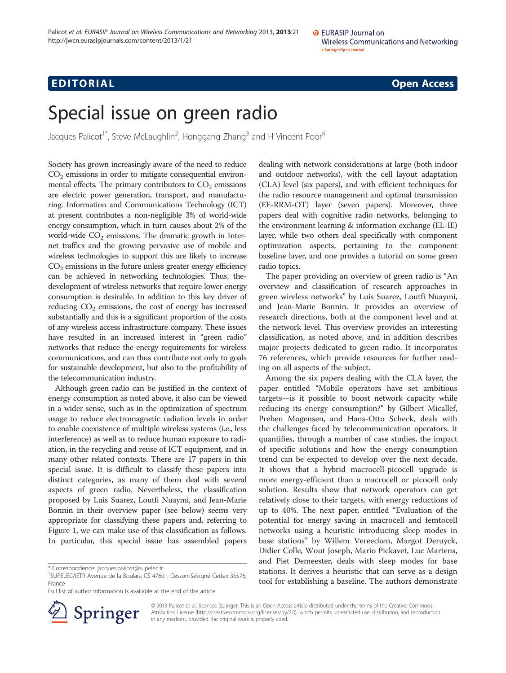# Edition in the contract of the contract of the contract of the contract of the contract of the contract of the<br>The contract of the contract of the contract of the contract of the contract of the contract of the contract o

## Special issue on green radio

Jacques Palicot<sup>1\*</sup>, Steve McLaughlin<sup>2</sup>, Honggang Zhang<sup>3</sup> and H Vincent Poor<sup>4</sup>

Society has grown increasingly aware of the need to reduce  $CO<sub>2</sub>$  emissions in order to mitigate consequential environmental effects. The primary contributors to  $CO<sub>2</sub>$  emissions are electric power generation, transport, and manufacturing. Information and Communications Technology (ICT) at present contributes a non-negligible 3% of world-wide energy consumption, which in turn causes about 2% of the world-wide  $CO<sub>2</sub>$  emissions. The dramatic growth in Internet traffics and the growing pervasive use of mobile and wireless technologies to support this are likely to increase  $CO<sub>2</sub>$  emissions in the future unless greater energy efficiency can be achieved in networking technologies. Thus, thedevelopment of wireless networks that require lower energy consumption is desirable. In addition to this key driver of reducing  $CO<sub>2</sub>$  emissions, the cost of energy has increased substantially and this is a significant proportion of the costs of any wireless access infrastructure company. These issues have resulted in an increased interest in "green radio" networks that reduce the energy requirements for wireless communications, and can thus contribute not only to goals for sustainable development, but also to the profitability of the telecommunication industry.

Although green radio can be justified in the context of energy consumption as noted above, it also can be viewed in a wider sense, such as in the optimization of spectrum usage to reduce electromagnetic radiation levels in order to enable coexistence of multiple wireless systems (i.e., less interference) as well as to reduce human exposure to radiation, in the recycling and reuse of ICT equipment, and in many other related contexts. There are 17 papers in this special issue. It is difficult to classify these papers into distinct categories, as many of them deal with several aspects of green radio. Nevertheless, the classification proposed by Luis Suarez, Loutfi Nuaymi, and Jean-Marie Bonnin in their overview paper (see below) seems very appropriate for classifying these papers and, referring to Figure [1,](#page-2-0) we can make use of this classification as follows. In particular, this special issue has assembled papers

Full list of author information is available at the end of the article



dealing with network considerations at large (both indoor and outdoor networks), with the cell layout adaptation (CLA) level (six papers), and with efficient techniques for the radio resource management and optimal transmission (EE-RRM-OT) layer (seven papers). Moreover, three papers deal with cognitive radio networks, belonging to the environment learning & information exchange (EL-IE) layer, while two others deal specifically with component optimization aspects, pertaining to the component baseline layer, and one provides a tutorial on some green radio topics.

The paper providing an overview of green radio is "An overview and classification of research approaches in green wireless networks" by Luis Suarez, Loutfi Nuaymi, and Jean-Marie Bonnin. It provides an overview of research directions, both at the component level and at the network level. This overview provides an interesting classification, as noted above, and in addition describes major projects dedicated to green radio. It incorporates 76 references, which provide resources for further reading on all aspects of the subject.

Among the six papers dealing with the CLA layer, the paper entitled "Mobile operators have set ambitious targets—is it possible to boost network capacity while reducing its energy consumption?" by Gilbert Micallef, Preben Mogensen, and Hans-Otto Scheck, deals with the challenges faced by telecommunication operators. It quantifies, through a number of case studies, the impact of specific solutions and how the energy consumption trend can be expected to develop over the next decade. It shows that a hybrid macrocell-picocell upgrade is more energy-efficient than a macrocell or picocell only solution. Results show that network operators can get relatively close to their targets, with energy reductions of up to 40%. The next paper, entitled "Evaluation of the potential for energy saving in macrocell and femtocell networks using a heuristic introducing sleep modes in base stations" by Willem Vereecken, Margot Deruyck, Didier Colle, Wout Joseph, Mario Pickavet, Luc Martens, and Piet Demeester, deals with sleep modes for base stations. It derives a heuristic that can serve as a design tool for establishing a baseline. The authors demonstrate

© 2013 Palicot et al.; licensee Springer. This is an Open Access article distributed under the terms of the Creative Commons Attribution License [\(http://creativecommons.org/licenses/by/2.0\)](http://creativecommons.org/licenses/by/2.0), which permits unrestricted use, distribution, and reproduction in any medium, provided the original work is properly cited.

<sup>\*</sup> Correspondence: [jacques.palicot@supelec.fr](mailto:jacques.palicot@supelec.fr) <sup>1</sup>

<sup>&</sup>lt;sup>1</sup>SUPELEC/IETR Avenue de la Boulais, CS 47601, Cesson-Sévigné Cedex 35576, France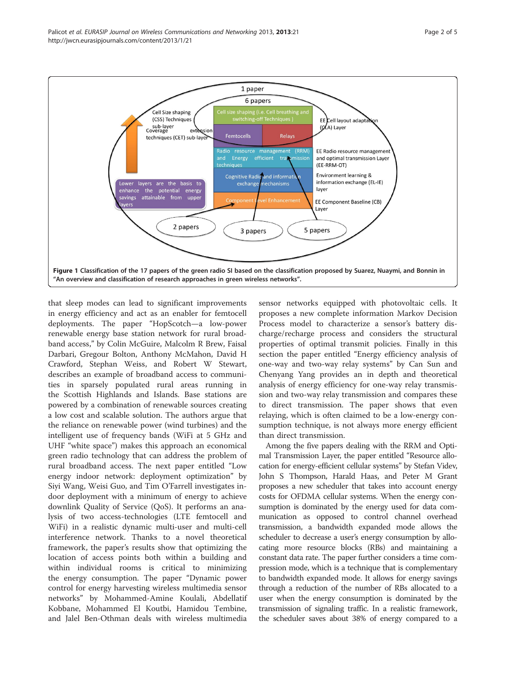<span id="page-2-0"></span>

that sleep modes can lead to significant improvements in energy efficiency and act as an enabler for femtocell deployments. The paper "HopScotch—a low-power renewable energy base station network for rural broadband access," by Colin McGuire, Malcolm R Brew, Faisal Darbari, Gregour Bolton, Anthony McMahon, David H Crawford, Stephan Weiss, and Robert W Stewart, describes an example of broadband access to communities in sparsely populated rural areas running in the Scottish Highlands and Islands. Base stations are powered by a combination of renewable sources creating a low cost and scalable solution. The authors argue that the reliance on renewable power (wind turbines) and the intelligent use of frequency bands (WiFi at 5 GHz and UHF "white space") makes this approach an economical green radio technology that can address the problem of rural broadband access. The next paper entitled "Low energy indoor network: deployment optimization" by Siyi Wang, Weisi Guo, and Tim O'Farrell investigates indoor deployment with a minimum of energy to achieve downlink Quality of Service (QoS). It performs an analysis of two access-technologies (LTE femtocell and WiFi) in a realistic dynamic multi-user and multi-cell interference network. Thanks to a novel theoretical framework, the paper's results show that optimizing the location of access points both within a building and within individual rooms is critical to minimizing the energy consumption. The paper "Dynamic power control for energy harvesting wireless multimedia sensor networks" by Mohammed-Amine Koulali, Abdellatif Kobbane, Mohammed El Koutbi, Hamidou Tembine, and Jalel Ben-Othman deals with wireless multimedia

sensor networks equipped with photovoltaic cells. It proposes a new complete information Markov Decision Process model to characterize a sensor's battery discharge/recharge process and considers the structural properties of optimal transmit policies. Finally in this section the paper entitled "Energy efficiency analysis of one-way and two-way relay systems" by Can Sun and Chenyang Yang provides an in depth and theoretical analysis of energy efficiency for one-way relay transmission and two-way relay transmission and compares these to direct transmission. The paper shows that even relaying, which is often claimed to be a low-energy consumption technique, is not always more energy efficient than direct transmission.

Among the five papers dealing with the RRM and Optimal Transmission Layer, the paper entitled "Resource allocation for energy-efficient cellular systems" by Stefan Videv, John S Thompson, Harald Haas, and Peter M Grant proposes a new scheduler that takes into account energy costs for OFDMA cellular systems. When the energy consumption is dominated by the energy used for data communication as opposed to control channel overhead transmission, a bandwidth expanded mode allows the scheduler to decrease a user's energy consumption by allocating more resource blocks (RBs) and maintaining a constant data rate. The paper further considers a time compression mode, which is a technique that is complementary to bandwidth expanded mode. It allows for energy savings through a reduction of the number of RBs allocated to a user when the energy consumption is dominated by the transmission of signaling traffic. In a realistic framework, the scheduler saves about 38% of energy compared to a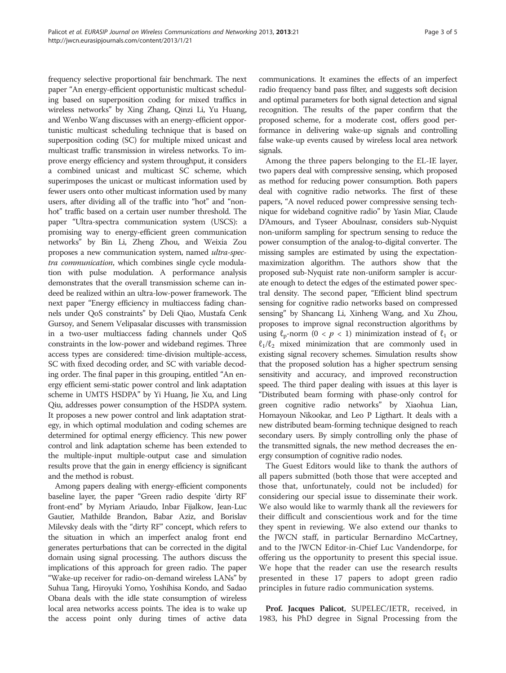frequency selective proportional fair benchmark. The next paper "An energy-efficient opportunistic multicast scheduling based on superposition coding for mixed traffics in wireless networks" by Xing Zhang, Qinzi Li, Yu Huang, and Wenbo Wang discusses with an energy-efficient opportunistic multicast scheduling technique that is based on superposition coding (SC) for multiple mixed unicast and multicast traffic transmission in wireless networks. To improve energy efficiency and system throughput, it considers a combined unicast and multicast SC scheme, which superimposes the unicast or multicast information used by fewer users onto other multicast information used by many users, after dividing all of the traffic into "hot" and "nonhot" traffic based on a certain user number threshold. The paper "Ultra-spectra communication system (USCS): a promising way to energy-efficient green communication networks" by Bin Li, Zheng Zhou, and Weixia Zou proposes a new communication system, named ultra-spectra communication, which combines single cycle modulation with pulse modulation. A performance analysis demonstrates that the overall transmission scheme can indeed be realized within an ultra-low-power framework. The next paper "Energy efficiency in multiaccess fading channels under QoS constraints" by Deli Qiao, Mustafa Cenk Gursoy, and Senem Velipasalar discusses with transmission in a two-user multiaccess fading channels under QoS constraints in the low-power and wideband regimes. Three access types are considered: time-division multiple-access, SC with fixed decoding order, and SC with variable decoding order. The final paper in this grouping, entitled "An energy efficient semi-static power control and link adaptation scheme in UMTS HSDPA" by Yi Huang, Jie Xu, and Ling Qiu, addresses power consumption of the HSDPA system. It proposes a new power control and link adaptation strategy, in which optimal modulation and coding schemes are determined for optimal energy efficiency. This new power control and link adaptation scheme has been extended to the multiple-input multiple-output case and simulation results prove that the gain in energy efficiency is significant and the method is robust.

Among papers dealing with energy-efficient components baseline layer, the paper "Green radio despite 'dirty RF' front-end" by Myriam Ariaudo, Inbar Fijalkow, Jean-Luc Gautier, Mathilde Brandon, Babar Aziz, and Borislav Milevsky deals with the "dirty RF" concept, which refers to the situation in which an imperfect analog front end generates perturbations that can be corrected in the digital domain using signal processing. The authors discuss the implications of this approach for green radio. The paper "Wake-up receiver for radio-on-demand wireless LANs" by Suhua Tang, Hiroyuki Yomo, Yoshihisa Kondo, and Sadao Obana deals with the idle state consumption of wireless local area networks access points. The idea is to wake up the access point only during times of active data communications. It examines the effects of an imperfect radio frequency band pass filter, and suggests soft decision and optimal parameters for both signal detection and signal recognition. The results of the paper confirm that the proposed scheme, for a moderate cost, offers good performance in delivering wake-up signals and controlling false wake-up events caused by wireless local area network signals.

Among the three papers belonging to the EL-IE layer, two papers deal with compressive sensing, which proposed as method for reducing power consumption. Both papers deal with cognitive radio networks. The first of these papers, "A novel reduced power compressive sensing technique for wideband cognitive radio" by Yasin Miar, Claude D'Amours, and Tyseer Aboulnasr, considers sub-Nyquist non-uniform sampling for spectrum sensing to reduce the power consumption of the analog-to-digital converter. The missing samples are estimated by using the expectationmaximization algorithm. The authors show that the proposed sub-Nyquist rate non-uniform sampler is accurate enough to detect the edges of the estimated power spectral density. The second paper, "Efficient blind spectrum sensing for cognitive radio networks based on compressed sensing" by Shancang Li, Xinheng Wang, and Xu Zhou, proposes to improve signal reconstruction algorithms by using  $\ell_p$ -norm  $(0 < p < 1)$  minimization instead of  $\ell_1$  or  $\ell_1/\ell_2$  mixed minimization that are commonly used in existing signal recovery schemes. Simulation results show that the proposed solution has a higher spectrum sensing sensitivity and accuracy, and improved reconstruction speed. The third paper dealing with issues at this layer is "Distributed beam forming with phase-only control for green cognitive radio networks" by Xiaohua Lian, Homayoun Nikookar, and Leo P Ligthart. It deals with a new distributed beam-forming technique designed to reach secondary users. By simply controlling only the phase of the transmitted signals, the new method decreases the energy consumption of cognitive radio nodes.

The Guest Editors would like to thank the authors of all papers submitted (both those that were accepted and those that, unfortunately, could not be included) for considering our special issue to disseminate their work. We also would like to warmly thank all the reviewers for their difficult and conscientious work and for the time they spent in reviewing. We also extend our thanks to the JWCN staff, in particular Bernardino McCartney, and to the JWCN Editor-in-Chief Luc Vandendorpe, for offering us the opportunity to present this special issue. We hope that the reader can use the research results presented in these 17 papers to adopt green radio principles in future radio communication systems.

Prof. Jacques Palicot, SUPELEC/IETR, received, in 1983, his PhD degree in Signal Processing from the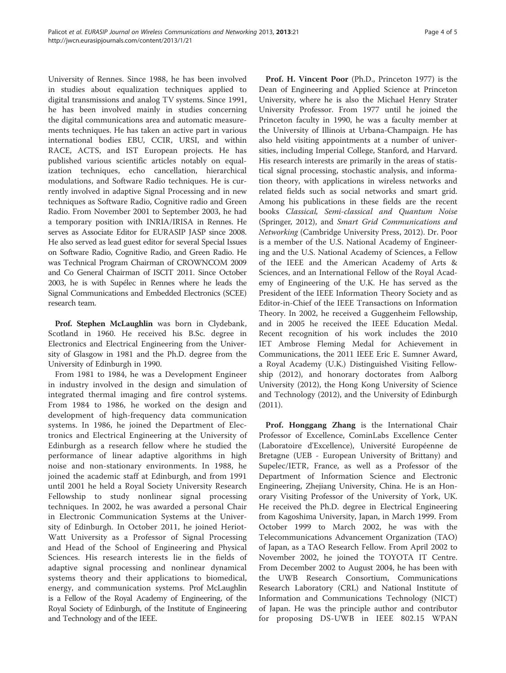University of Rennes. Since 1988, he has been involved in studies about equalization techniques applied to digital transmissions and analog TV systems. Since 1991, he has been involved mainly in studies concerning the digital communications area and automatic measurements techniques. He has taken an active part in various international bodies EBU, CCIR, URSI, and within RACE, ACTS, and IST European projects. He has published various scientific articles notably on equalization techniques, echo cancellation, hierarchical modulations, and Software Radio techniques. He is currently involved in adaptive Signal Processing and in new techniques as Software Radio, Cognitive radio and Green Radio. From November 2001 to September 2003, he had a temporary position with INRIA/IRISA in Rennes. He serves as Associate Editor for EURASIP JASP since 2008. He also served as lead guest editor for several Special Issues on Software Radio, Cognitive Radio, and Green Radio. He was Technical Program Chairman of CROWNCOM 2009 and Co General Chairman of ISCIT 2011. Since October 2003, he is with Supélec in Rennes where he leads the Signal Communications and Embedded Electronics (SCEE) research team.

Prof. Stephen McLaughlin was born in Clydebank, Scotland in 1960. He received his B.Sc. degree in Electronics and Electrical Engineering from the University of Glasgow in 1981 and the Ph.D. degree from the University of Edinburgh in 1990.

From 1981 to 1984, he was a Development Engineer in industry involved in the design and simulation of integrated thermal imaging and fire control systems. From 1984 to 1986, he worked on the design and development of high-frequency data communication systems. In 1986, he joined the Department of Electronics and Electrical Engineering at the University of Edinburgh as a research fellow where he studied the performance of linear adaptive algorithms in high noise and non-stationary environments. In 1988, he joined the academic staff at Edinburgh, and from 1991 until 2001 he held a Royal Society University Research Fellowship to study nonlinear signal processing techniques. In 2002, he was awarded a personal Chair in Electronic Communication Systems at the University of Edinburgh. In October 2011, he joined Heriot-Watt University as a Professor of Signal Processing and Head of the School of Engineering and Physical Sciences. His research interests lie in the fields of adaptive signal processing and nonlinear dynamical systems theory and their applications to biomedical, energy, and communication systems. Prof McLaughlin is a Fellow of the Royal Academy of Engineering, of the Royal Society of Edinburgh, of the Institute of Engineering and Technology and of the IEEE.

Prof. H. Vincent Poor (Ph.D., Princeton 1977) is the Dean of Engineering and Applied Science at Princeton University, where he is also the Michael Henry Strater University Professor. From 1977 until he joined the Princeton faculty in 1990, he was a faculty member at the University of Illinois at Urbana-Champaign. He has also held visiting appointments at a number of universities, including Imperial College, Stanford, and Harvard. His research interests are primarily in the areas of statistical signal processing, stochastic analysis, and information theory, with applications in wireless networks and related fields such as social networks and smart grid. Among his publications in these fields are the recent books Classical, Semi-classical and Quantum Noise (Springer, 2012), and Smart Grid Communications and Networking (Cambridge University Press, 2012). Dr. Poor is a member of the U.S. National Academy of Engineering and the U.S. National Academy of Sciences, a Fellow of the IEEE and the American Academy of Arts & Sciences, and an International Fellow of the Royal Academy of Engineering of the U.K. He has served as the President of the IEEE Information Theory Society and as Editor-in-Chief of the IEEE Transactions on Information Theory. In 2002, he received a Guggenheim Fellowship, and in 2005 he received the IEEE Education Medal. Recent recognition of his work includes the 2010 IET Ambrose Fleming Medal for Achievement in Communications, the 2011 IEEE Eric E. Sumner Award, a Royal Academy (U.K.) Distinguished Visiting Fellowship (2012), and honorary doctorates from Aalborg University (2012), the Hong Kong University of Science and Technology (2012), and the University of Edinburgh (2011).

Prof. Honggang Zhang is the International Chair Professor of Excellence, CominLabs Excellence Center (Laboratoire d'Excellence), Université Européenne de Bretagne (UEB - European University of Brittany) and Supelec/IETR, France, as well as a Professor of the Department of Information Science and Electronic Engineering, Zhejiang University, China. He is an Honorary Visiting Professor of the University of York, UK. He received the Ph.D. degree in Electrical Engineering from Kagoshima University, Japan, in March 1999. From October 1999 to March 2002, he was with the Telecommunications Advancement Organization (TAO) of Japan, as a TAO Research Fellow. From April 2002 to November 2002, he joined the TOYOTA IT Centre. From December 2002 to August 2004, he has been with the UWB Research Consortium, Communications Research Laboratory (CRL) and National Institute of Information and Communications Technology (NICT) of Japan. He was the principle author and contributor for proposing DS-UWB in IEEE 802.15 WPAN